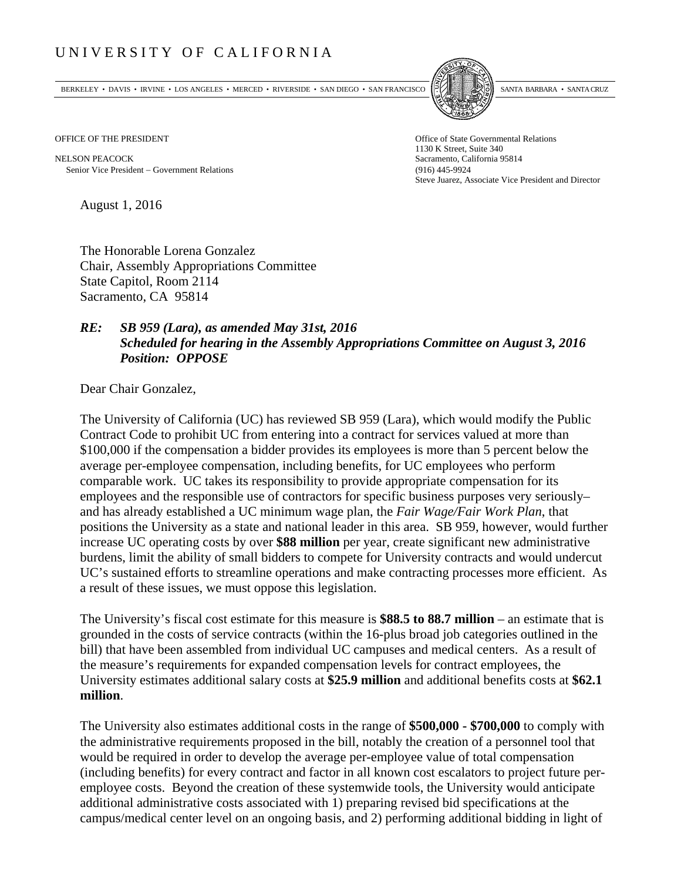## UNIVERSITY OF CALIFORNIA

BERKELEY • DAVIS • IRVINE • LOS ANGELES • MERCED • RIVERSIDE • SAN DIEGO • SAN FRANCISCO SANTA BARBARA • SANTA CRUZ



NELSON PEACOCK Sacramento, California 95814 Senior Vice President Government Relations (916) 445-9924

OFFICE OF THE PRESIDENT STATES OF THE PRESIDENT 1130 K Street, Suite 340 Steve Juarez, Associate Vice President and Director

August 1, 2016

The Honorable Lorena Gonzalez Chair, Assembly Appropriations Committee State Capitol, Room 2114 Sacramento, CA 95814

## *RE: SB 959 (Lara), as amended May 31st, 2016 Scheduled for hearing in the Assembly Appropriations Committee on August 3, 2016 Position: OPPOSE*

Dear Chair Gonzalez,

The University of California (UC) has reviewed SB 959 (Lara), which would modify the Public Contract Code to prohibit UC from entering into a contract for services valued at more than \$100,000 if the compensation a bidder provides its employees is more than 5 percent below the average per-employee compensation, including benefits, for UC employees who perform comparable work. UC takes its responsibility to provide appropriate compensation for its employees and the responsible use of contractors for specific business purposes very seriously– and has already established a UC minimum wage plan, the *Fair Wage/Fair Work Plan*, that positions the University as a state and national leader in this area. SB 959, however, would further increase UC operating costs by over **\$88 million** per year, create significant new administrative burdens, limit the ability of small bidders to compete for University contracts and would undercut UC's sustained efforts to streamline operations and make contracting processes more efficient. As a result of these issues, we must oppose this legislation.

The University's fiscal cost estimate for this measure is **\$88.5 to 88.7 million** – an estimate that is grounded in the costs of service contracts (within the 16-plus broad job categories outlined in the bill) that have been assembled from individual UC campuses and medical centers. As a result of the measure's requirements for expanded compensation levels for contract employees, the University estimates additional salary costs at **\$25.9 million** and additional benefits costs at **\$62.1 million**.

The University also estimates additional costs in the range of **\$500,000 - \$700,000** to comply with the administrative requirements proposed in the bill, notably the creation of a personnel tool that would be required in order to develop the average per-employee value of total compensation (including benefits) for every contract and factor in all known cost escalators to project future peremployee costs. Beyond the creation of these systemwide tools, the University would anticipate additional administrative costs associated with 1) preparing revised bid specifications at the campus/medical center level on an ongoing basis, and 2) performing additional bidding in light of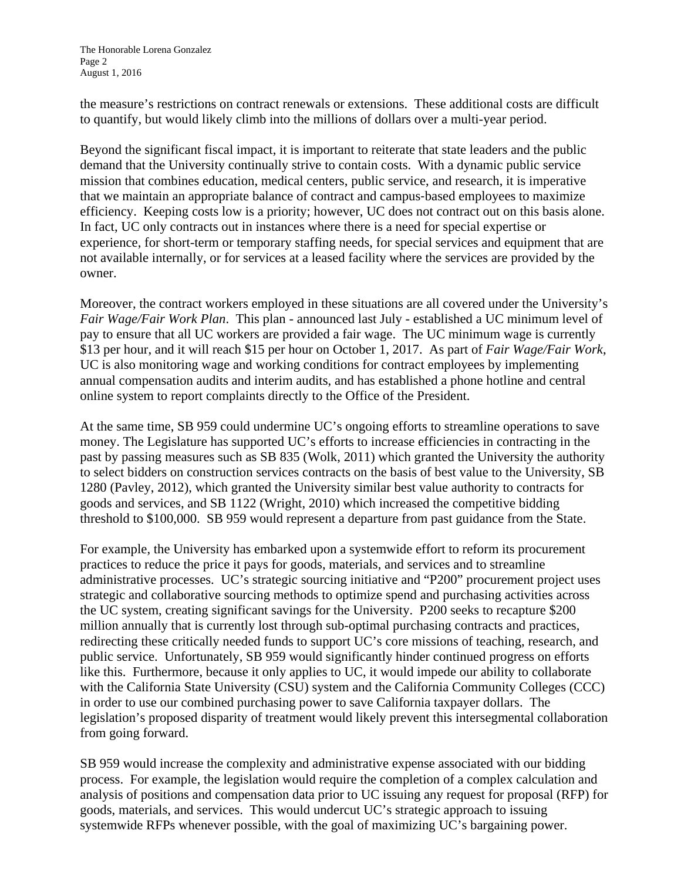the measure's restrictions on contract renewals or extensions. These additional costs are difficult to quantify, but would likely climb into the millions of dollars over a multi-year period.

Beyond the significant fiscal impact, it is important to reiterate that state leaders and the public demand that the University continually strive to contain costs. With a dynamic public service mission that combines education, medical centers, public service, and research, it is imperative that we maintain an appropriate balance of contract and campus‐based employees to maximize efficiency. Keeping costs low is a priority; however, UC does not contract out on this basis alone. In fact, UC only contracts out in instances where there is a need for special expertise or experience, for short-term or temporary staffing needs, for special services and equipment that are not available internally, or for services at a leased facility where the services are provided by the owner.

Moreover, the contract workers employed in these situations are all covered under the University's *Fair Wage/Fair Work Plan*. This plan - announced last July - established a UC minimum level of pay to ensure that all UC workers are provided a fair wage. The UC minimum wage is currently \$13 per hour, and it will reach \$15 per hour on October 1, 2017. As part of *Fair Wage/Fair Work*, UC is also monitoring wage and working conditions for contract employees by implementing annual compensation audits and interim audits, and has established a phone hotline and central online system to report complaints directly to the Office of the President.

At the same time, SB 959 could undermine UC's ongoing efforts to streamline operations to save money. The Legislature has supported UC's efforts to increase efficiencies in contracting in the past by passing measures such as SB 835 (Wolk, 2011) which granted the University the authority to select bidders on construction services contracts on the basis of best value to the University, SB 1280 (Pavley, 2012), which granted the University similar best value authority to contracts for goods and services, and SB 1122 (Wright, 2010) which increased the competitive bidding threshold to \$100,000. SB 959 would represent a departure from past guidance from the State.

For example, the University has embarked upon a systemwide effort to reform its procurement practices to reduce the price it pays for goods, materials, and services and to streamline administrative processes. UC's strategic sourcing initiative and "P200" procurement project uses strategic and collaborative sourcing methods to optimize spend and purchasing activities across the UC system, creating significant savings for the University. P200 seeks to recapture \$200 million annually that is currently lost through sub-optimal purchasing contracts and practices, redirecting these critically needed funds to support UC's core missions of teaching, research, and public service. Unfortunately, SB 959 would significantly hinder continued progress on efforts like this. Furthermore, because it only applies to UC, it would impede our ability to collaborate with the California State University (CSU) system and the California Community Colleges (CCC) in order to use our combined purchasing power to save California taxpayer dollars. The legislation's proposed disparity of treatment would likely prevent this intersegmental collaboration from going forward.

SB 959 would increase the complexity and administrative expense associated with our bidding process. For example, the legislation would require the completion of a complex calculation and analysis of positions and compensation data prior to UC issuing any request for proposal (RFP) for goods, materials, and services. This would undercut UC's strategic approach to issuing systemwide RFPs whenever possible, with the goal of maximizing UC's bargaining power.